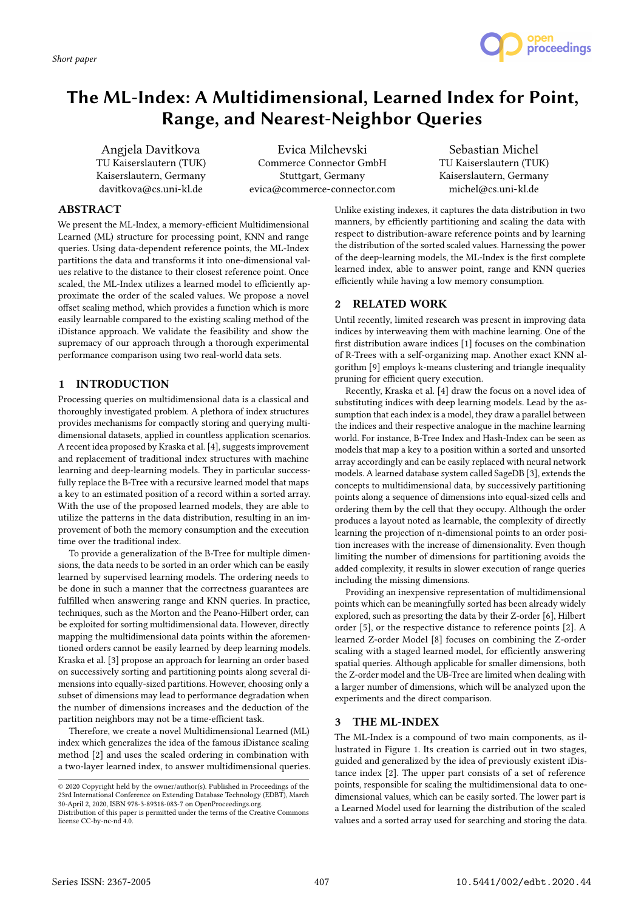



# The ML-Index: A Multidimensional, Learned Index for Point, Range, and Nearest-Neighbor Queries

Angjela Davitkova TU Kaiserslautern (TUK) Kaiserslautern, Germany davitkova@cs.uni-kl.de

Evica Milchevski Commerce Connector GmbH Stuttgart, Germany evica@commerce-connector.com

Sebastian Michel TU Kaiserslautern (TUK) Kaiserslautern, Germany michel@cs.uni-kl.de

## ABSTRACT

We present the ML-Index, a memory-efficient Multidimensional Learned (ML) structure for processing point, KNN and range queries. Using data-dependent reference points, the ML-Index partitions the data and transforms it into one-dimensional values relative to the distance to their closest reference point. Once scaled, the ML-Index utilizes a learned model to efficiently approximate the order of the scaled values. We propose a novel offset scaling method, which provides a function which is more easily learnable compared to the existing scaling method of the iDistance approach. We validate the feasibility and show the supremacy of our approach through a thorough experimental performance comparison using two real-world data sets.

## 1 INTRODUCTION

Processing queries on multidimensional data is a classical and thoroughly investigated problem. A plethora of index structures provides mechanisms for compactly storing and querying multidimensional datasets, applied in countless application scenarios. A recent idea proposed by Kraska et al. [4], suggests improvement and replacement of traditional index structures with machine learning and deep-learning models. They in particular successfully replace the B-Tree with a recursive learned model that maps a key to an estimated position of a record within a sorted array. With the use of the proposed learned models, they are able to utilize the patterns in the data distribution, resulting in an improvement of both the memory consumption and the execution time over the traditional index.

To provide a generalization of the B-Tree for multiple dimensions, the data needs to be sorted in an order which can be easily learned by supervised learning models. The ordering needs to be done in such a manner that the correctness guarantees are fulfilled when answering range and KNN queries. In practice, techniques, such as the Morton and the Peano-Hilbert order, can be exploited for sorting multidimensional data. However, directly mapping the multidimensional data points within the aforementioned orders cannot be easily learned by deep learning models. Kraska et al. [3] propose an approach for learning an order based on successively sorting and partitioning points along several dimensions into equally-sized partitions. However, choosing only a subset of dimensions may lead to performance degradation when the number of dimensions increases and the deduction of the partition neighbors may not be a time-efficient task.

Therefore, we create a novel Multidimensional Learned (ML) index which generalizes the idea of the famous iDistance scaling method [2] and uses the scaled ordering in combination with a two-layer learned index, to answer multidimensional queries. Unlike existing indexes, it captures the data distribution in two manners, by efficiently partitioning and scaling the data with respect to distribution-aware reference points and by learning the distribution of the sorted scaled values. Harnessing the power of the deep-learning models, the ML-Index is the first complete learned index, able to answer point, range and KNN queries efficiently while having a low memory consumption.

# 2 RELATED WORK

Until recently, limited research was present in improving data indices by interweaving them with machine learning. One of the first distribution aware indices [1] focuses on the combination of R-Trees with a self-organizing map. Another exact KNN algorithm [9] employs k-means clustering and triangle inequality pruning for efficient query execution.

Recently, Kraska et al. [4] draw the focus on a novel idea of substituting indices with deep learning models. Lead by the assumption that each index is a model, they draw a parallel between the indices and their respective analogue in the machine learning world. For instance, B-Tree Index and Hash-Index can be seen as models that map a key to a position within a sorted and unsorted array accordingly and can be easily replaced with neural network models. A learned database system called SageDB [3], extends the concepts to multidimensional data, by successively partitioning points along a sequence of dimensions into equal-sized cells and ordering them by the cell that they occupy. Although the order produces a layout noted as learnable, the complexity of directly learning the projection of n-dimensional points to an order position increases with the increase of dimensionality. Even though limiting the number of dimensions for partitioning avoids the added complexity, it results in slower execution of range queries including the missing dimensions.

Providing an inexpensive representation of multidimensional points which can be meaningfully sorted has been already widely explored, such as presorting the data by their Z-order [6], Hilbert order [5], or the respective distance to reference points [2]. A learned Z-order Model [8] focuses on combining the Z-order scaling with a staged learned model, for efficiently answering spatial queries. Although applicable for smaller dimensions, both the Z-order model and the UB-Tree are limited when dealing with a larger number of dimensions, which will be analyzed upon the experiments and the direct comparison.

## 3 THE ML-INDEX

The ML-Index is a compound of two main components, as illustrated in Figure 1. Its creation is carried out in two stages, guided and generalized by the idea of previously existent iDistance index [2]. The upper part consists of a set of reference points, responsible for scaling the multidimensional data to onedimensional values, which can be easily sorted. The lower part is a Learned Model used for learning the distribution of the scaled values and a sorted array used for searching and storing the data.

<sup>©</sup> 2020 Copyright held by the owner/author(s). Published in Proceedings of the 23rd International Conference on Extending Database Technology (EDBT), March 30-April 2, 2020, ISBN 978-3-89318-083-7 on OpenProceedings.org.

Distribution of this paper is permitted under the terms of the Creative Commons license CC-by-nc-nd 4.0.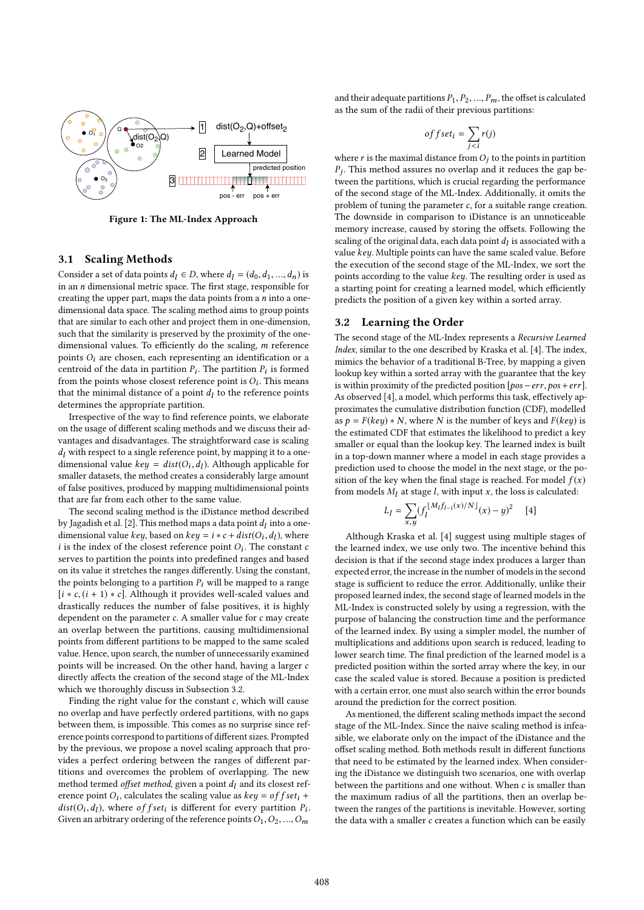

Figure 1: The ML-Index Approach

### 3.1 Scaling Methods

Consider a set of data points  $d_1 \in D$ , where  $d_1 = (d_0, d_1, ..., d_n)$  is in an n dimensional metric space. The first stage, responsible for creating the upper part, maps the data points from a  $n$  into a onedimensional data space. The scaling method aims to group points that are similar to each other and project them in one-dimension, such that the similarity is preserved by the proximity of the onedimensional values. To efficiently do the scaling, m reference points  $O_i$  are chosen, each representing an identification or a centroid of the data in partition  $P_i$ . The partition  $P_i$  is formed from the points whose closest reference point is  $O_i$ . This means that the minimal distance of a point  $d_l$  to the reference points determines the appropriate partition.

Irrespective of the way to find reference points, we elaborate on the usage of different scaling methods and we discuss their advantages and disadvantages. The straightforward case is scaling  $d_l$  with respect to a single reference point, by mapping it to a onedimensional value  $key = dist(O_i, d_l)$ . Although applicable for smaller datasets, the method creates a considerably large amount of false positives, produced by mapping multidimensional points that are far from each other to the same value.

The second scaling method is the iDistance method described by Jagadish et al. [2]. This method maps a data point  $d_l$  into a onedimensional value *key*, based on *key* =  $i * c + dist(O_i, d_l)$ , where  $i$  is the index of the closest reference point  $O_i$ . The constant  $c$ serves to partition the points into predefined ranges and based on its value it stretches the ranges differently. Using the constant, the points belonging to a partition  $P_i$  will be mapped to a range  $[i * c, (i + 1) * c]$ . Although it provides well-scaled values and drastically reduces the number of false positives, it is highly dependent on the parameter c. A smaller value for c may create an overlap between the partitions, causing multidimensional points from different partitions to be mapped to the same scaled value. Hence, upon search, the number of unnecessarily examined points will be increased. On the other hand, having a larger  $\emph{c}$ directly affects the creation of the second stage of the ML-Index which we thoroughly discuss in Subsection 3.2.

Finding the right value for the constant  $c$ , which will cause no overlap and have perfectly ordered partitions, with no gaps between them, is impossible. This comes as no surprise since reference points correspond to partitions of different sizes. Prompted by the previous, we propose a novel scaling approach that provides a perfect ordering between the ranges of different partitions and overcomes the problem of overlapping. The new method termed offset method, given a point  $d_l$  and its closest reference point  $O_i$ , calculates the scaling value as  $key = offset_i +$  $dist(O_i, d_l)$ , where *of f set<sub>i</sub>* is different for every partition  $P_i$ . Given an arbitrary ordering of the reference points  $O_1, O_2, ..., O_m$ 

and their adequate partitions  $P_1, P_2, ..., P_m$ , the offset is calculated as the sum of the radii of their previous partitions:

$$
offset_i = \sum_{j < i} r(j)
$$

where  $r$  is the maximal distance from  $O_i$  to the points in partition  $P_j$ . This method assures no overlap and it reduces the gap between the partitions, which is crucial regarding the performance of the second stage of the ML-Index. Additionally, it omits the problem of tuning the parameter c, for a suitable range creation. The downside in comparison to iDistance is an unnoticeable memory increase, caused by storing the offsets. Following the scaling of the original data, each data point  $d_l$  is associated with a value key. Multiple points can have the same scaled value. Before the execution of the second stage of the ML-Index, we sort the points according to the value key. The resulting order is used as a starting point for creating a learned model, which efficiently predicts the position of a given key within a sorted array.

#### 3.2 Learning the Order

The second stage of the ML-Index represents a Recursive Learned Index, similar to the one described by Kraska et al. [4]. The index, mimics the behavior of a traditional B-Tree, by mapping a given lookup key within a sorted array with the guarantee that the key is within proximity of the predicted position  $[pos-err,pos+err]$ . As observed [4], a model, which performs this task, effectively approximates the cumulative distribution function (CDF), modelled as  $p = F(key) * N$ , where N is the number of keys and  $F(key)$  is the estimated CDF that estimates the likelihood to predict a key smaller or equal than the lookup key. The learned index is built in a top-down manner where a model in each stage provides a prediction used to choose the model in the next stage, or the position of the key when the final stage is reached. For model  $f(x)$ from models  $M_l$  at stage l, with input x, the loss is calculated:

$$
L_l = \sum_{x,y} (f_l^{\lfloor M_l f_{l-1}(x)/N \rfloor}(x) - y)^2 \qquad [4]
$$

Although Kraska et al. [4] suggest using multiple stages of the learned index, we use only two. The incentive behind this decision is that if the second stage index produces a larger than expected error, the increase in the number of models in the second stage is sufficient to reduce the error. Additionally, unlike their proposed learned index, the second stage of learned models in the ML-Index is constructed solely by using a regression, with the purpose of balancing the construction time and the performance of the learned index. By using a simpler model, the number of multiplications and additions upon search is reduced, leading to lower search time. The final prediction of the learned model is a predicted position within the sorted array where the key, in our case the scaled value is stored. Because a position is predicted with a certain error, one must also search within the error bounds around the prediction for the correct position.

As mentioned, the different scaling methods impact the second stage of the ML-Index. Since the naive scaling method is infeasible, we elaborate only on the impact of the iDistance and the offset scaling method. Both methods result in different functions that need to be estimated by the learned index. When considering the iDistance we distinguish two scenarios, one with overlap between the partitions and one without. When  $c$  is smaller than the maximum radius of all the partitions, then an overlap between the ranges of the partitions is inevitable. However, sorting the data with a smaller  $c$  creates a function which can be easily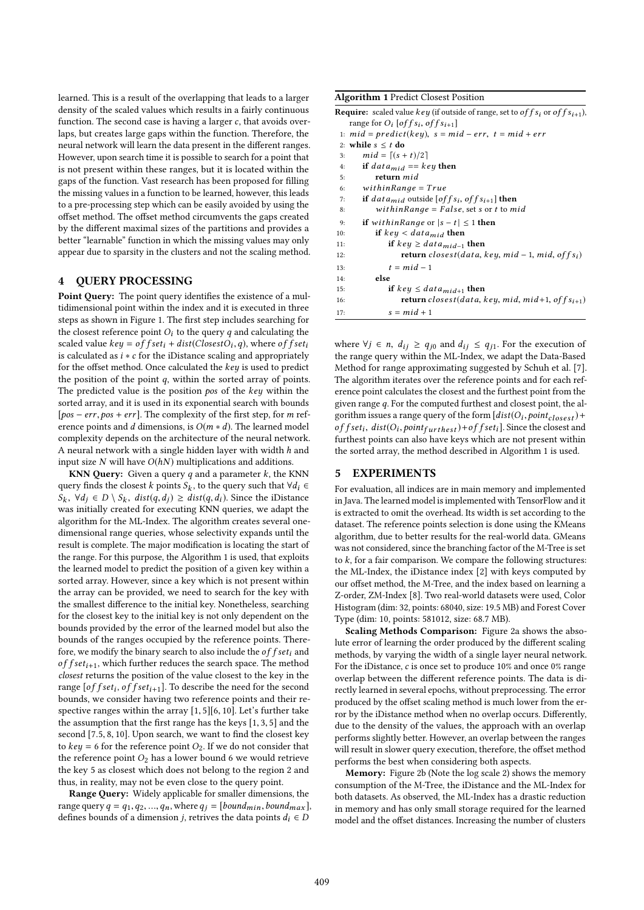learned. This is a result of the overlapping that leads to a larger density of the scaled values which results in a fairly continuous function. The second case is having a larger  $c$ , that avoids overlaps, but creates large gaps within the function. Therefore, the neural network will learn the data present in the different ranges. However, upon search time it is possible to search for a point that is not present within these ranges, but it is located within the gaps of the function. Vast research has been proposed for filling the missing values in a function to be learned, however, this leads to a pre-processing step which can be easily avoided by using the offset method. The offset method circumvents the gaps created by the different maximal sizes of the partitions and provides a better "learnable" function in which the missing values may only appear due to sparsity in the clusters and not the scaling method.

## 4 QUERY PROCESSING

Point Query: The point query identifies the existence of a multidimensional point within the index and it is executed in three steps as shown in Figure 1. The first step includes searching for the closest reference point  $O_i$  to the query q and calculating the scaled value  $key = offset_i + dist(Closes tO_i, q)$ , where  $offset_i$ is calculated as  $i * c$  for the iDistance scaling and appropriately for the offset method. Once calculated the key is used to predict the position of the point  $q$ , within the sorted array of points. The predicted value is the position  $pos$  of the  $key$  within the sorted array, and it is used in its exponential search with bounds [pos − err, pos + err]. The complexity of the first step, for m reference points and d dimensions, is  $O(m*d)$ . The learned model complexity depends on the architecture of the neural network. A neural network with a single hidden layer with width  $h$  and input size  $N$  will have  $O(hN)$  multiplications and additions.

**KNN Query:** Given a query  $q$  and a parameter  $k$ , the KNN query finds the closest  $k$  points  $S_k$ , to the query such that  $\forall d_i \in$  $S_k$ ,  $\forall d_j \in D \setminus S_k$ ,  $dist(q, d_j) \geq dist(q, d_i)$ . Since the iDistance was initially created for executing KNN queries, we adapt the algorithm for the ML-Index. The algorithm creates several onedimensional range queries, whose selectivity expands until the result is complete. The major modification is locating the start of the range. For this purpose, the Algorithm 1 is used, that exploits the learned model to predict the position of a given key within a sorted array. However, since a key which is not present within the array can be provided, we need to search for the key with the smallest difference to the initial key. Nonetheless, searching for the closest key to the initial key is not only dependent on the bounds provided by the error of the learned model but also the bounds of the ranges occupied by the reference points. Therefore, we modify the binary search to also include the  $of f set_i$  and of f set<sub>i+1</sub>, which further reduces the search space. The method closest returns the position of the value closest to the key in the range  $[offset_i, offset_{i+1}]$ . To describe the need for the second bounds, we consider having two reference points and their respective ranges within the array [1, 5][6, 10]. Let's further take the assumption that the first range has the keys [1, 3, 5] and the second [7.5, 8, 10]. Upon search, we want to find the closest key to  $key = 6$  for the reference point  $O_2$ . If we do not consider that the reference point  $O_2$  has a lower bound 6 we would retrieve the key 5 as closest which does not belong to the region 2 and thus, in reality, may not be even close to the query point.

Range Query: Widely applicable for smaller dimensions, the range query  $q = q_1, q_2, ..., q_n$ , where  $q_i = [bound_{min}, bound_{max}]$ , defines bounds of a dimension *j*, retrives the data points  $d_i \in D$ 

#### Algorithm 1 Predict Closest Position

```
Require: scaled value key (if outside of range, set to offs_i or offs_{i+1}),
   range for O_i [of fs_i, of fs_{i+1}]
 1: mid = predict(key), s = mid - err, t = mid + err2: while s \leq t do
3: mid = [(s + t)/2]4: if data_{mid} == key then
5: return mid
6: withinRange = True7: if data_{mid} outside [offs_i, offset_{i+1}] then
8: withinRange = False, set s or t to mid
9: if withinRange or |s-t| \leq 1 then
10: if key < data_{mid} then
11: if key \geq data_{mid-1} then
12: return closest(data, key, mid – 1, mid, of fs_i)
13: t = mid - 114: else
15: if key \leq data_{mid+1} then
16: return closest(data, key, mid, mid+1, of fs_{i+1})
17: s = mid + 1
```
where  $\forall j \in n$ ,  $d_{ij} \ge q_{j0}$  and  $d_{ij} \le q_{j1}$ . For the execution of the range query within the ML-Index, we adapt the Data-Based Method for range approximating suggested by Schuh et al. [7]. The algorithm iterates over the reference points and for each reference point calculates the closest and the furthest point from the given range q. For the computed furthest and closest point, the algorithm issues a range query of the form  $\left[dist(O_i, point_{closest})+\right]$  $offset_i, \; dist(O_i, point_{further best})+offset_i].$  Since the closest and furthest points can also have keys which are not present within the sorted array, the method described in Algorithm 1 is used.

#### 5 EXPERIMENTS

For evaluation, all indices are in main memory and implemented in Java. The learned model is implemented with TensorFlow and it is extracted to omit the overhead. Its width is set according to the dataset. The reference points selection is done using the KMeans algorithm, due to better results for the real-world data. GMeans was not considered, since the branching factor of the M-Tree is set to  $k$ , for a fair comparison. We compare the following structures: the ML-Index, the iDistance index [2] with keys computed by our offset method, the M-Tree, and the index based on learning a Z-order, ZM-Index [8]. Two real-world datasets were used, Color Histogram (dim: 32, points: 68040, size: 19.5 MB) and Forest Cover Type (dim: 10, points: 581012, size: 68.7 MB).

Scaling Methods Comparison: Figure 2a shows the absolute error of learning the order produced by the different scaling methods, by varying the width of a single layer neural network. For the iDistance,  $c$  is once set to produce 10% and once 0% range overlap between the different reference points. The data is directly learned in several epochs, without preprocessing. The error produced by the offset scaling method is much lower from the error by the iDistance method when no overlap occurs. Differently, due to the density of the values, the approach with an overlap performs slightly better. However, an overlap between the ranges will result in slower query execution, therefore, the offset method performs the best when considering both aspects.

Memory: Figure 2b (Note the log scale 2) shows the memory consumption of the M-Tree, the iDistance and the ML-Index for both datasets. As observed, the ML-Index has a drastic reduction in memory and has only small storage required for the learned model and the offset distances. Increasing the number of clusters